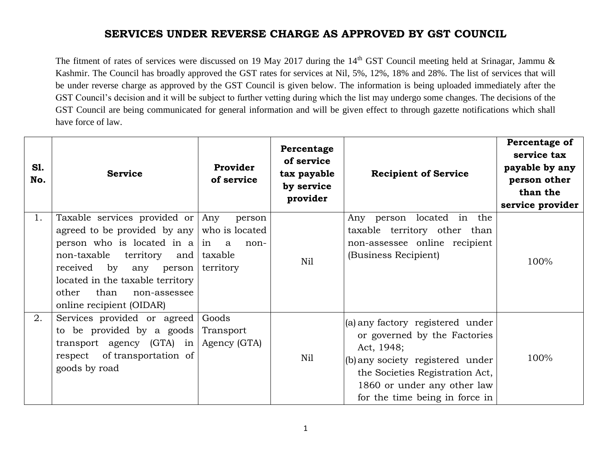The fitment of rates of services were discussed on 19 May 2017 during the  $14<sup>th</sup>$  GST Council meeting held at Srinagar, Jammu & Kashmir. The Council has broadly approved the GST rates for services at Nil, 5%, 12%, 18% and 28%. The list of services that will be under reverse charge as approved by the GST Council is given below. The information is being uploaded immediately after the GST Council's decision and it will be subject to further vetting during which the list may undergo some changes. The decisions of the GST Council are being communicated for general information and will be given effect to through gazette notifications which shall have force of law.

| S1.<br>No. | <b>Service</b>                                                                                                                                                                                                                                                                | Provider<br>of service                                   | Percentage<br>of service<br>tax payable<br>by service<br>provider | <b>Recipient of Service</b>                                                                                                                                                                                            | Percentage of<br>service tax<br>payable by any<br>person other<br>than the<br>service provider |
|------------|-------------------------------------------------------------------------------------------------------------------------------------------------------------------------------------------------------------------------------------------------------------------------------|----------------------------------------------------------|-------------------------------------------------------------------|------------------------------------------------------------------------------------------------------------------------------------------------------------------------------------------------------------------------|------------------------------------------------------------------------------------------------|
| 1.         | Taxable services provided or Any<br>agreed to be provided by any<br>person who is located in $a \mid in$ a<br>non-taxable<br>territory<br>  and<br>received by<br>any person<br>located in the taxable territory<br>other<br>than<br>non-assessee<br>online recipient (OIDAR) | person<br>who is located<br>non-<br>taxable<br>territory | Nil                                                               | Any person located in the<br>taxable territory other than<br>non-assessee online recipient<br>(Business Recipient)                                                                                                     | 100%                                                                                           |
| 2.         | Services provided or agreed<br>to be provided by a goods<br>transport agency $(GTA)$ in<br>respect of transportation of<br>goods by road                                                                                                                                      | Goods<br>Transport<br>Agency (GTA)                       | Nil                                                               | (a) any factory registered under<br>or governed by the Factories<br>Act, 1948;<br>(b) any society registered under<br>the Societies Registration Act,<br>1860 or under any other law<br>for the time being in force in | 100%                                                                                           |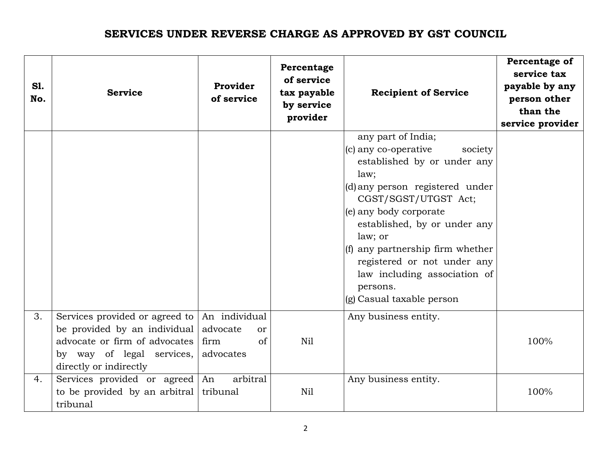| S1.<br>No. | <b>Service</b>                                                                                                                                         | Provider<br>of service                                                | Percentage<br>of service<br>tax payable<br>by service<br>provider | <b>Recipient of Service</b>                                                                                                                                                                                                                                                                                                                                              | Percentage of<br>service tax<br>payable by any<br>person other<br>than the<br>service provider |
|------------|--------------------------------------------------------------------------------------------------------------------------------------------------------|-----------------------------------------------------------------------|-------------------------------------------------------------------|--------------------------------------------------------------------------------------------------------------------------------------------------------------------------------------------------------------------------------------------------------------------------------------------------------------------------------------------------------------------------|------------------------------------------------------------------------------------------------|
|            |                                                                                                                                                        |                                                                       |                                                                   | any part of India;<br>(c) any co-operative<br>society<br>established by or under any<br>law;<br>(d) any person registered under<br>CGST/SGST/UTGST Act;<br>(e) any body corporate<br>established, by or under any<br>law; or<br>(f) any partnership firm whether<br>registered or not under any<br>law including association of<br>persons.<br>(g) Casual taxable person |                                                                                                |
| 3.         | Services provided or agreed to<br>be provided by an individual<br>advocate or firm of advocates<br>by way of legal services,<br>directly or indirectly | An individual<br>advocate<br><sub>or</sub><br>of<br>firm<br>advocates | N <sub>il</sub>                                                   | Any business entity.                                                                                                                                                                                                                                                                                                                                                     | 100%                                                                                           |
| 4.         | Services provided or agreed An<br>to be provided by an arbitral<br>tribunal                                                                            | arbitral<br>tribunal                                                  | Nil                                                               | Any business entity.                                                                                                                                                                                                                                                                                                                                                     | 100%                                                                                           |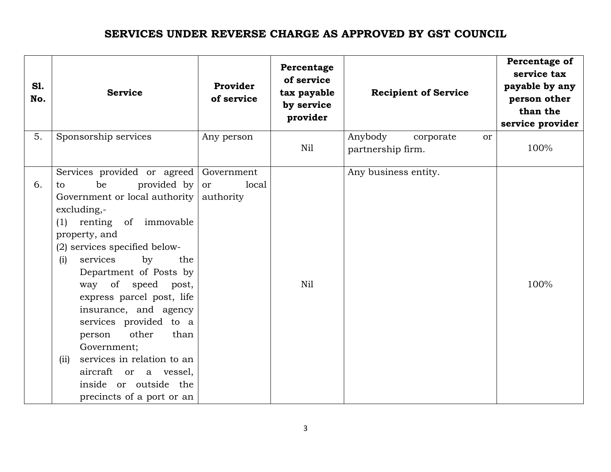| <b>S1.</b><br>No. | <b>Service</b>                                                                                                                                                                                                                                                                                                                                                                                                                                                                                                         | Provider<br>of service                 | Percentage<br>of service<br>tax payable<br>by service<br>provider | <b>Recipient of Service</b>                                | Percentage of<br>service tax<br>payable by any<br>person other<br>than the<br>service provider |
|-------------------|------------------------------------------------------------------------------------------------------------------------------------------------------------------------------------------------------------------------------------------------------------------------------------------------------------------------------------------------------------------------------------------------------------------------------------------------------------------------------------------------------------------------|----------------------------------------|-------------------------------------------------------------------|------------------------------------------------------------|------------------------------------------------------------------------------------------------|
| 5.                | Sponsorship services                                                                                                                                                                                                                                                                                                                                                                                                                                                                                                   | Any person                             | Nil                                                               | Anybody<br>corporate<br><sub>or</sub><br>partnership firm. | 100%                                                                                           |
| 6.                | Services provided or agreed<br>be<br>provided by<br>to<br>Government or local authority<br>excluding,-<br>renting of immovable<br>(1)<br>property, and<br>(2) services specified below-<br>services<br>by<br>the<br>(i)<br>Department of Posts by<br>way of speed post,<br>express parcel post, life<br>insurance, and agency<br>services provided to a<br>other<br>than<br>person<br>Government;<br>services in relation to an<br>(ii)<br>aircraft or a vessel,<br>inside or outside the<br>precincts of a port or an | Government<br>local<br>or<br>authority | N <sub>il</sub>                                                   | Any business entity.                                       | 100%                                                                                           |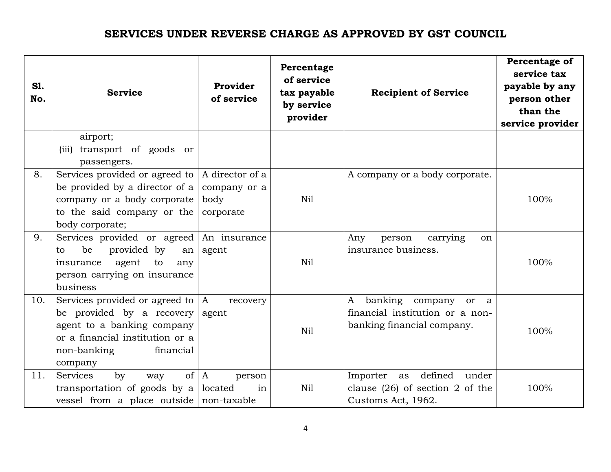| <b>S1.</b><br>No. | <b>Service</b>                                                                                                                                                            | Provider<br>of service                               | Percentage<br>of service<br>tax payable<br>by service<br>provider | <b>Recipient of Service</b>                                                                   | Percentage of<br>service tax<br>payable by any<br>person other<br>than the<br>service provider |
|-------------------|---------------------------------------------------------------------------------------------------------------------------------------------------------------------------|------------------------------------------------------|-------------------------------------------------------------------|-----------------------------------------------------------------------------------------------|------------------------------------------------------------------------------------------------|
|                   | airport;<br>(iii) transport of goods or<br>passengers.                                                                                                                    |                                                      |                                                                   |                                                                                               |                                                                                                |
| 8.                | Services provided or agreed to<br>be provided by a director of a<br>company or a body corporate<br>to the said company or the<br>body corporate;                          | A director of a<br>company or a<br>body<br>corporate | Nil                                                               | A company or a body corporate.                                                                | 100%                                                                                           |
| 9.                | Services provided or agreed<br>be<br>provided by<br>an<br>to<br>agent<br>to<br>insurance<br>any<br>person carrying on insurance<br>business                               | An insurance<br>agent                                | Nil                                                               | carrying<br>person<br>Any<br><sub>on</sub><br>insurance business.                             | 100%                                                                                           |
| 10.               | Services provided or agreed to $ A $<br>be provided by a recovery<br>agent to a banking company<br>or a financial institution or a<br>non-banking<br>financial<br>company | recovery<br>agent                                    | Nil                                                               | banking company<br>A<br>or a<br>financial institution or a non-<br>banking financial company. | 100%                                                                                           |
| 11.               | $\circ$ f<br>Services<br>by<br>way<br>transportation of goods by a<br>vessel from a place outside non-taxable                                                             | A<br>person<br>located<br>in                         | Nil                                                               | defined<br>Importer as<br>under<br>clause $(26)$ of section 2 of the<br>Customs Act, 1962.    | 100%                                                                                           |